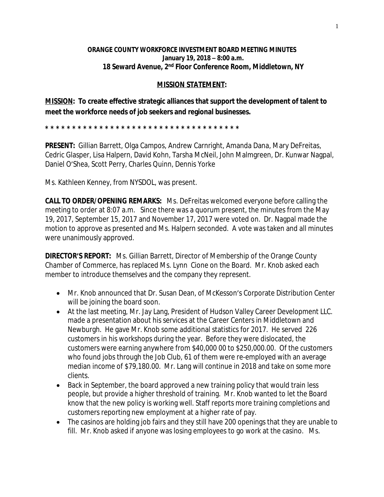## **ORANGE COUNTY WORKFORCE INVESTMENT BOARD MEETING MINUTES January 19, 2018 – 8:00 a.m. 18 Seward Avenue, 2nd Floor Conference Room, Middletown, NY**

## **MISSION STATEMENT:**

**MISSION: To create effective strategic alliances that support the development of talent to meet the workforce needs of job seekers and regional businesses.**

**\* \* \* \* \* \* \* \* \* \* \* \* \* \* \* \* \* \* \* \* \* \* \* \* \* \* \* \* \* \* \* \* \* \* \* \*** 

**PRESENT:** Gillian Barrett, Olga Campos, Andrew Carnright, Amanda Dana, Mary DeFreitas, Cedric Glasper, Lisa Halpern, David Kohn, Tarsha McNeil, John Malmgreen, Dr. Kunwar Nagpal, Daniel O'Shea, Scott Perry, Charles Quinn, Dennis Yorke

Ms. Kathleen Kenney, from NYSDOL, was present.

**CALL TO ORDER/OPENING REMARKS:** Ms. DeFreitas welcomed everyone before calling the meeting to order at 8:07 a.m. Since there was a quorum present, the minutes from the May 19, 2017, September 15, 2017 and November 17, 2017 were voted on. Dr. Nagpal made the motion to approve as presented and Ms. Halpern seconded. A vote was taken and all minutes were unanimously approved.

**DIRECTOR'S REPORT:** Ms. Gillian Barrett, Director of Membership of the Orange County Chamber of Commerce, has replaced Ms. Lynn Cione on the Board. Mr. Knob asked each member to introduce themselves and the company they represent.

- Mr. Knob announced that Dr. Susan Dean, of McKesson's Corporate Distribution Center will be joining the board soon.
- At the last meeting, Mr. Jay Lang, President of Hudson Valley Career Development LLC. made a presentation about his services at the Career Centers in Middletown and Newburgh. He gave Mr. Knob some additional statistics for 2017. He served 226 customers in his workshops during the year. Before they were dislocated, the customers were earning anywhere from \$40,000 00 to \$250,000.00. Of the customers who found jobs through the Job Club, 61 of them were re-employed with an average median income of \$79,180.00. Mr. Lang will continue in 2018 and take on some more clients.
- Back in September, the board approved a new training policy that would train less people, but provide a higher threshold of training. Mr. Knob wanted to let the Board know that the new policy is working well. Staff reports more training completions and customers reporting new employment at a higher rate of pay.
- The casinos are holding job fairs and they still have 200 openings that they are unable to fill. Mr. Knob asked if anyone was losing employees to go work at the casino. Ms.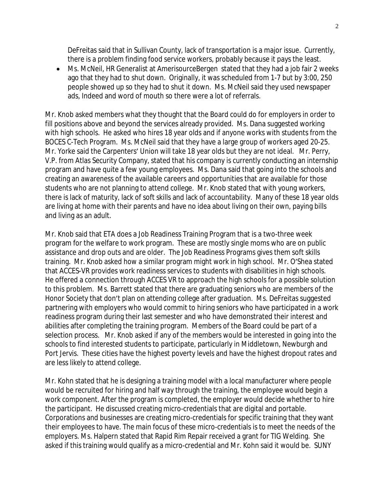DeFreitas said that in Sullivan County, lack of transportation is a major issue. Currently, there is a problem finding food service workers, probably because it pays the least.

 Ms. McNeil, HR Generalist at AmerisourceBergen stated that they had a job fair 2 weeks ago that they had to shut down. Originally, it was scheduled from 1-7 but by 3:00, 250 people showed up so they had to shut it down. Ms. McNeil said they used newspaper ads, Indeed and word of mouth so there were a lot of referrals.

Mr. Knob asked members what they thought that the Board could do for employers in order to fill positions above and beyond the services already provided. Ms. Dana suggested working with high schools. He asked who hires 18 year olds and if anyone works with students from the BOCES C-Tech Program. Ms. McNeil said that they have a large group of workers aged 20-25. Mr. Yorke said the Carpenters' Union will take 18 year olds but they are not ideal. Mr. Perry, V.P. from Atlas Security Company, stated that his company is currently conducting an internship program and have quite a few young employees. Ms. Dana said that going into the schools and creating an awareness of the available careers and opportunities that are available for those students who are not planning to attend college. Mr. Knob stated that with young workers, there is lack of maturity, lack of soft skills and lack of accountability. Many of these 18 year olds are living at home with their parents and have no idea about living on their own, paying bills and living as an adult.

Mr. Knob said that ETA does a Job Readiness Training Program that is a two-three week program for the welfare to work program. These are mostly single moms who are on public assistance and drop outs and are older. The Job Readiness Programs gives them soft skills training. Mr. Knob asked how a similar program might work in high school. Mr. O'Shea stated that ACCES-VR provides work readiness services to students with disabilities in high schools. He offered a connection through ACCES VR to approach the high schools for a possible solution to this problem. Ms. Barrett stated that there are graduating seniors who are members of the Honor Society that don't plan on attending college after graduation. Ms. DeFreitas suggested partnering with employers who would commit to hiring seniors who have participated in a work readiness program during their last semester and who have demonstrated their interest and abilities after completing the training program. Members of the Board could be part of a selection process. Mr. Knob asked if any of the members would be interested in going into the schools to find interested students to participate, particularly in Middletown, Newburgh and Port Jervis. These cities have the highest poverty levels and have the highest dropout rates and are less likely to attend college.

Mr. Kohn stated that he is designing a training model with a local manufacturer where people would be recruited for hiring and half way through the training, the employee would begin a work component. After the program is completed, the employer would decide whether to hire the participant. He discussed creating micro-credentials that are digital and portable. Corporations and businesses are creating micro-credentials for specific training that they want their employees to have. The main focus of these micro-credentials is to meet the needs of the employers. Ms. Halpern stated that Rapid Rim Repair received a grant for TIG Welding. She asked if this training would qualify as a micro-credential and Mr. Kohn said it would be. SUNY